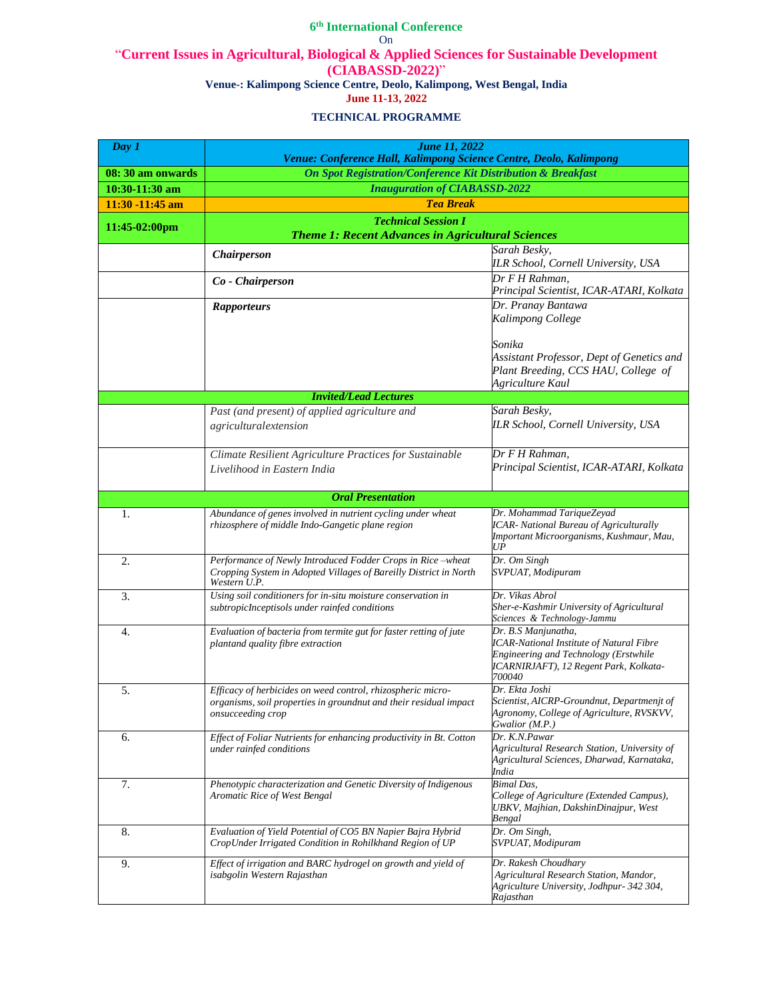| Day 1                   | <b>June 11, 2022</b><br>Venue: Conference Hall, Kalimpong Science Centre, Deolo, Kalimpong                                                            |                                                                                                                                                                     |
|-------------------------|-------------------------------------------------------------------------------------------------------------------------------------------------------|---------------------------------------------------------------------------------------------------------------------------------------------------------------------|
| 08:30 am onwards        | <b>On Spot Registration/Conference Kit Distribution &amp; Breakfast</b>                                                                               |                                                                                                                                                                     |
| 10:30-11:30 am          | <b>Inauguration of CIABASSD-2022</b>                                                                                                                  |                                                                                                                                                                     |
| 11:30 -11:45 am         | <b>Tea Break</b>                                                                                                                                      |                                                                                                                                                                     |
| $11:45-02:00 \text{pm}$ | <b>Technical Session I</b>                                                                                                                            |                                                                                                                                                                     |
|                         | <b>Theme 1: Recent Advances in Agricultural Sciences</b>                                                                                              |                                                                                                                                                                     |
|                         | <b>Chairperson</b>                                                                                                                                    | Sarah Besky,<br>ILR School, Cornell University, USA                                                                                                                 |
|                         | Co - Chairperson                                                                                                                                      | Dr F H Rahman,<br>Principal Scientist, ICAR-ATARI, Kolkata                                                                                                          |
|                         | <b>Rapporteurs</b>                                                                                                                                    | Dr. Pranay Bantawa<br>Kalimpong College                                                                                                                             |
|                         |                                                                                                                                                       | Sonika<br>Assistant Professor, Dept of Genetics and<br>Plant Breeding, CCS HAU, College of<br>Agriculture Kaul                                                      |
|                         | <b>Invited/Lead Lectures</b>                                                                                                                          |                                                                                                                                                                     |
|                         | Past (and present) of applied agriculture and<br>agriculturalextension                                                                                | Sarah Besky,<br>ILR School, Cornell University, USA                                                                                                                 |
|                         | Climate Resilient Agriculture Practices for Sustainable<br>Livelihood in Eastern India                                                                | Dr F H Rahman,<br>Principal Scientist, ICAR-ATARI, Kolkata                                                                                                          |
|                         | <b>Oral Presentation</b>                                                                                                                              |                                                                                                                                                                     |
|                         | Abundance of genes involved in nutrient cycling under wheat                                                                                           | Dr. Mohammad TariqueZeyad                                                                                                                                           |
| 1.                      | rhizosphere of middle Indo-Gangetic plane region                                                                                                      | <b>ICAR-</b> National Bureau of Agriculturally<br>Important Microorganisms, Kushmaur, Mau,<br>UP                                                                    |
| 2.                      | Performance of Newly Introduced Fodder Crops in Rice-wheat<br>Cropping System in Adopted Villages of Bareilly District in North<br>Western U.P.       | Dr. Om Singh<br>SVPUAT, Modipuram                                                                                                                                   |
| 3.                      | Using soil conditioners for in-situ moisture conservation in<br>subtropicInceptisols under rainfed conditions                                         | Dr. Vikas Abrol<br>Sher-e-Kashmir University of Agricultural<br>Sciences & Technology-Jammu                                                                         |
| 4.                      | Evaluation of bacteria from termite gut for faster retting of jute<br>plantand quality fibre extraction                                               | Dr. B.S Manjunatha,<br><b>ICAR-National Institute of Natural Fibre</b><br>Engineering and Technology (Erstwhile<br>ICARNIRJAFT), 12 Regent Park, Kolkata-<br>700040 |
| 5.                      | Efficacy of herbicides on weed control, rhizospheric micro-<br>organisms, soil properties in groundnut and their residual impact<br>onsucceeding crop | Dr. Ekta Joshi<br>Scientist, AICRP-Groundnut, Departmenjt of<br>Agronomy, College of Agriculture, RVSKVV,<br>Gwalior (M.P.)                                         |
| 6.                      | Effect of Foliar Nutrients for enhancing productivity in Bt. Cotton<br>under rainfed conditions                                                       | Dr. K.N.Pawar<br>Agricultural Research Station, University of<br>Agricultural Sciences, Dharwad, Karnataka,<br>India                                                |
| 7.                      | Phenotypic characterization and Genetic Diversity of Indigenous<br>Aromatic Rice of West Bengal                                                       | <b>Bimal</b> Das,<br>College of Agriculture (Extended Campus),<br>UBKV, Majhian, DakshinDinajpur, West<br>Bengal                                                    |
| 8.                      | Evaluation of Yield Potential of CO5 BN Napier Bajra Hybrid<br>CropUnder Irrigated Condition in Rohilkhand Region of UP                               | Dr. Om Singh,<br>SVPUAT, Modipuram                                                                                                                                  |
| 9.                      | Effect of irrigation and BARC hydrogel on growth and yield of<br>isabgolin Western Rajasthan                                                          | Dr. Rakesh Choudhary<br>Agricultural Research Station, Mandor,<br>Agriculture University, Jodhpur- 342 304,<br>Rajasthan                                            |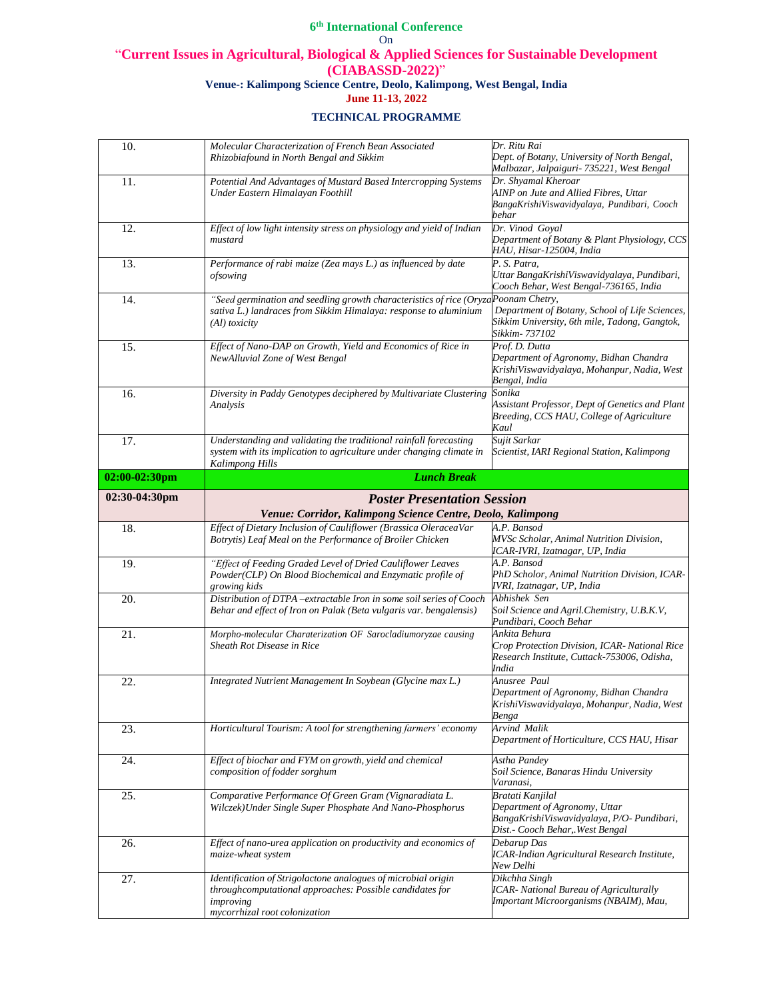| 10.              | Molecular Characterization of French Bean Associated<br>Rhizobiafound in North Bengal and Sikkim                                                                        | Dr. Ritu Rai<br>Dept. of Botany, University of North Bengal,<br>Malbazar, Jalpaiguri- 735221, West Bengal                            |
|------------------|-------------------------------------------------------------------------------------------------------------------------------------------------------------------------|--------------------------------------------------------------------------------------------------------------------------------------|
| 11.              | Potential And Advantages of Mustard Based Intercropping Systems<br>Under Eastern Himalayan Foothill                                                                     | Dr. Shyamal Kheroar<br>AINP on Jute and Allied Fibres, Uttar<br>BangaKrishiViswavidyalaya, Pundibari, Cooch<br>behar                 |
| 12.              | Effect of low light intensity stress on physiology and yield of Indian<br>mustard                                                                                       | Dr. Vinod Goyal<br>Department of Botany & Plant Physiology, CCS<br>HAU, Hisar-125004, India                                          |
| 13.              | Performance of rabi maize (Zea mays L.) as influenced by date<br>ofsowing                                                                                               | P. S. Patra,<br>Uttar BangaKrishiViswavidyalaya, Pundibari,<br>Cooch Behar, West Bengal-736165, India                                |
| 14.              | "Seed germination and seedling growth characteristics of rice (OryzaPoonam Chetry,<br>sativa L.) landraces from Sikkim Himalaya: response to aluminium<br>(Al) toxicity | Department of Botany, School of Life Sciences,<br>Sikkim University, 6th mile, Tadong, Gangtok,<br>Sikkim- 737102                    |
| 15.              | Effect of Nano-DAP on Growth, Yield and Economics of Rice in<br>NewAlluvial Zone of West Bengal                                                                         | Prof. D. Dutta<br>Department of Agronomy, Bidhan Chandra<br>KrishiViswavidyalaya, Mohanpur, Nadia, West<br>Bengal, India             |
| 16.              | Diversity in Paddy Genotypes deciphered by Multivariate Clustering<br>Analysis                                                                                          | Sonika<br>Assistant Professor, Dept of Genetics and Plant<br>Breeding, CCS HAU, College of Agriculture<br>Kaul                       |
| 17.              | Understanding and validating the traditional rainfall forecasting<br>system with its implication to agriculture under changing climate in<br>Kalimpong Hills            | Sujit Sarkar<br>Scientist, IARI Regional Station, Kalimpong                                                                          |
| $02:00-02:30$ pm | <b>Lunch Break</b>                                                                                                                                                      |                                                                                                                                      |
| 02:30-04:30pm    | <b>Poster Presentation Session</b>                                                                                                                                      |                                                                                                                                      |
|                  | Venue: Corridor, Kalimpong Science Centre, Deolo, Kalimpong                                                                                                             |                                                                                                                                      |
| 18.              | Effect of Dietary Inclusion of Cauliflower (Brassica OleraceaVar                                                                                                        | A.P. Bansod                                                                                                                          |
|                  | Botrytis) Leaf Meal on the Performance of Broiler Chicken                                                                                                               | MVSc Scholar, Animal Nutrition Division,<br>ICAR-IVRI, Izatnagar, UP, India                                                          |
| 19.              | "Effect of Feeding Graded Level of Dried Cauliflower Leaves<br>Powder(CLP) On Blood Biochemical and Enzymatic profile of<br>growing kids                                | A.P. Bansod<br>PhD Scholor, Animal Nutrition Division, ICAR-<br>IVRI, Izatnagar, UP, India                                           |
| 20.              | Distribution of DTPA -extractable Iron in some soil series of Cooch<br>Behar and effect of Iron on Palak (Beta vulgaris var. bengalensis)                               | Abhishek Sen<br>Soil Science and Agril. Chemistry, U.B.K.V,<br>Pundibari, Cooch Behar                                                |
| 21.              | Morpho-molecular Charaterization OF Sarocladiumoryzae causing<br>Sheath Rot Disease in Rice                                                                             | Ankita Behura<br>Crop Protection Division, ICAR- National Rice<br>Research Institute, Cuttack-753006, Odisha,<br><b>India</b>        |
| 22.              | Integrated Nutrient Management In Soybean (Glycine max L.)                                                                                                              | Anusree Paul<br>Department of Agronomy, Bidhan Chandra<br>KrishiViswavidyalaya, Mohanpur, Nadia, West<br>Benga                       |
| 23.              | Horticultural Tourism: A tool for strengthening farmers' economy                                                                                                        | Arvind Malik<br>Department of Horticulture, CCS HAU, Hisar                                                                           |
| 24.              | Effect of biochar and FYM on growth, yield and chemical<br>composition of fodder sorghum                                                                                | Astha Pandey<br>Soil Science, Banaras Hindu University<br>Varanasi,                                                                  |
| 25.              | Comparative Performance Of Green Gram (Vignaradiata L.<br>Wilczek) Under Single Super Phosphate And Nano-Phosphorus                                                     | Bratati Kanjilal<br>Department of Agronomy, Uttar<br>BangaKrishiViswavidyalaya, P/O- Pundibari,<br>Dist. - Cooch Behar,. West Bengal |
| 26.<br>27.       | Effect of nano-urea application on productivity and economics of<br>maize-wheat system<br>Identification of Strigolactone analogues of microbial origin                 | Debarup Das<br><b>ICAR-Indian Agricultural Research Institute,</b><br>New Delhi<br>Dikchha Singh                                     |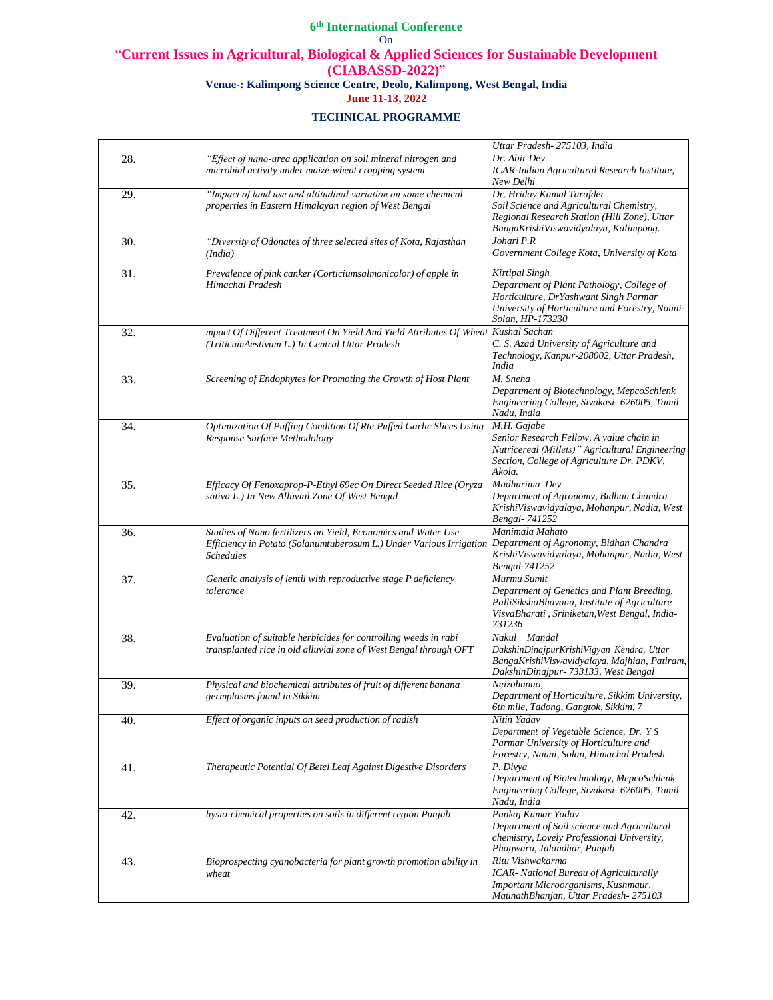|     |                                                                     | Uttar Pradesh-275103, India                                 |
|-----|---------------------------------------------------------------------|-------------------------------------------------------------|
| 28. | "Effect of nano-urea application on soil mineral nitrogen and       | Dr. Abir Dev                                                |
|     | microbial activity under maize-wheat cropping system                | ICAR-Indian Agricultural Research Institute,                |
|     |                                                                     | New Delhi                                                   |
| 29. | "Impact of land use and altitudinal variation on some chemical      | Dr. Hriday Kamal Tarafder                                   |
|     | properties in Eastern Himalayan region of West Bengal               | Soil Science and Agricultural Chemistry,                    |
|     |                                                                     | Regional Research Station (Hill Zone), Uttar                |
|     |                                                                     | BangaKrishiViswavidyalaya, Kalimpong.                       |
| 30. | "Diversity of Odonates of three selected sites of Kota, Rajasthan   | Johari P.R                                                  |
|     | (India)                                                             | Government College Kota, University of Kota                 |
| 31. | Prevalence of pink canker (Corticiumsalmonicolor) of apple in       | Kirtipal Singh                                              |
|     | Himachal Pradesh                                                    | Department of Plant Pathology, College of                   |
|     |                                                                     | Horticulture, DrYashwant Singh Parmar                       |
|     |                                                                     | University of Horticulture and Forestry, Nauni-             |
|     |                                                                     | Solan, HP-173230                                            |
| 32. | mpact Of Different Treatment On Yield And Yield Attributes Of Wheat | Kushal Sachan                                               |
|     | TriticumAestivum L.) In Central Uttar Pradesh                       | C. S. Azad University of Agriculture and                    |
|     |                                                                     | Technology, Kanpur-208002, Uttar Pradesh,                   |
|     |                                                                     | India                                                       |
| 33. | Screening of Endophytes for Promoting the Growth of Host Plant      | M. Sneha                                                    |
|     |                                                                     | Department of Biotechnology, MepcoSchlenk                   |
|     |                                                                     | Engineering College, Sivakasi- 626005, Tamil<br>Nadu, India |
| 34. | Optimization Of Puffing Condition Of Rte Puffed Garlic Slices Using | M.H. Gajabe                                                 |
|     | Response Surface Methodology                                        | Senior Research Fellow, A value chain in                    |
|     |                                                                     | Nutricereal (Millets)" Agricultural Engineering             |
|     |                                                                     | Section, College of Agriculture Dr. PDKV,                   |
|     |                                                                     | Akola.                                                      |
| 35. | Efficacy Of Fenoxaprop-P-Ethyl 69ec On Direct Seeded Rice (Oryza    | Madhurima Dey                                               |
|     | sativa L.) In New Alluvial Zone Of West Bengal                      | Department of Agronomy, Bidhan Chandra                      |
|     |                                                                     | KrishiViswavidyalaya, Mohanpur, Nadia, West                 |
|     |                                                                     | Bengal- 741252                                              |
| 36. | Studies of Nano fertilizers on Yield, Economics and Water Use       | Manimala Mahato                                             |
|     | Efficiency in Potato (Solanumtuberosum L.) Under Various Irrigation | Department of Agronomy, Bidhan Chandra                      |
|     | <b>Schedules</b>                                                    | KrishiViswavidyalaya, Mohanpur, Nadia, West                 |
|     |                                                                     | Bengal-741252                                               |
| 37. | Genetic analysis of lentil with reproductive stage P deficiency     | Murmu Sumit                                                 |
|     | tolerance                                                           | Department of Genetics and Plant Breeding,                  |
|     |                                                                     | PalliSikshaBhavana, Institute of Agriculture                |
|     |                                                                     | VisvaBharati, Sriniketan, West Bengal, India-<br>731236     |
| 38. | Evaluation of suitable herbicides for controlling weeds in rabi     | Nakul Mandal                                                |
|     | transplanted rice in old alluvial zone of West Bengal through OFT   | DakshinDinajpurKrishiVigyan Kendra, Uttar                   |
|     |                                                                     | BangaKrishiViswavidyalaya, Majhian, Patiram,                |
|     |                                                                     | DakshinDinajpur- 733133, West Bengal                        |
| 39. | Physical and biochemical attributes of fruit of different banana    | Neizohunuo.                                                 |
|     | germplasms found in Sikkim                                          | Department of Horticulture, Sikkim University,              |
|     |                                                                     | 6th mile, Tadong, Gangtok, Sikkim, 7                        |
| 40. | Effect of organic inputs on seed production of radish               | Nitin Yadav                                                 |
|     |                                                                     | Department of Vegetable Science, Dr. Y S                    |
|     |                                                                     | Parmar University of Horticulture and                       |
|     |                                                                     | Forestry, Nauni, Solan, Himachal Pradesh                    |
| 41. | Therapeutic Potential Of Betel Leaf Against Digestive Disorders     | P. Divya                                                    |
|     |                                                                     | Department of Biotechnology, MepcoSchlenk                   |
|     |                                                                     | Engineering College, Sivakasi- 626005, Tamil<br>Nadu, India |
| 42. | hysio-chemical properties on soils in different region Punjab       | Pankaj Kumar Yadav                                          |
|     |                                                                     | Department of Soil science and Agricultural                 |
|     |                                                                     | chemistry, Lovely Professional University,                  |
|     |                                                                     | Phagwara, Jalandhar, Punjab                                 |
| 43. | Bioprospecting cyanobacteria for plant growth promotion ability in  | Ritu Vishwakarma                                            |
|     | wheat                                                               | <b>ICAR-</b> National Bureau of Agriculturally              |
|     |                                                                     | Important Microorganisms, Kushmaur,                         |
|     |                                                                     | MaunathBhanjan, Uttar Pradesh-275103                        |
|     |                                                                     |                                                             |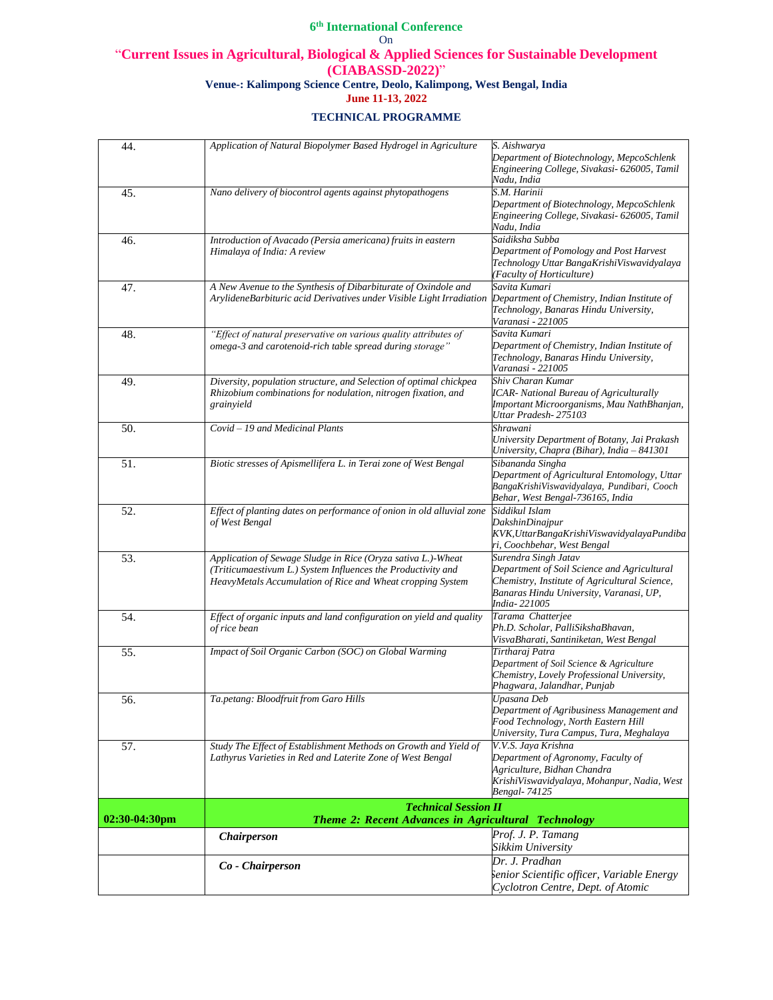| 44.           | Application of Natural Biopolymer Based Hydrogel in Agriculture                                                                                                                            | S. Aishwarya<br>Department of Biotechnology, MepcoSchlenk<br>Engineering College, Sivakasi- 626005, Tamil<br>Nadu, India                                                         |
|---------------|--------------------------------------------------------------------------------------------------------------------------------------------------------------------------------------------|----------------------------------------------------------------------------------------------------------------------------------------------------------------------------------|
| 45.           | Nano delivery of biocontrol agents against phytopathogens                                                                                                                                  | S.M. Harinii<br>Department of Biotechnology, MepcoSchlenk<br>Engineering College, Sivakasi- 626005, Tamil<br>Nadu, India                                                         |
| 46.           | Introduction of Avacado (Persia americana) fruits in eastern<br>Himalaya of India: A review                                                                                                | Saidiksha Subba<br>Department of Pomology and Post Harvest<br>Technology Uttar BangaKrishiViswavidyalaya<br>(Faculty of Horticulture)                                            |
| 47.           | A New Avenue to the Synthesis of Dibarbiturate of Oxindole and<br>ArylideneBarbituric acid Derivatives under Visible Light Irradiation                                                     | Savita Kumari<br>Department of Chemistry, Indian Institute of<br>Technology, Banaras Hindu University,<br>Varanasi - 221005                                                      |
| 48.           | "Effect of natural preservative on various quality attributes of<br>omega-3 and carotenoid-rich table spread during storage"                                                               | Savita Kumari<br>Department of Chemistry, Indian Institute of<br>Technology, Banaras Hindu University,<br>Varanasi - 221005                                                      |
| 49.           | Diversity, population structure, and Selection of optimal chickpea<br>Rhizobium combinations for nodulation, nitrogen fixation, and<br>grainyield                                          | Shiv Charan Kumar<br><b>ICAR-</b> National Bureau of Agriculturally<br>Important Microorganisms, Mau NathBhanjan,<br>Uttar Pradesh- 275103                                       |
| 50.           | Covid - 19 and Medicinal Plants                                                                                                                                                            | Shrawani<br>University Department of Botany, Jai Prakash<br>University, Chapra (Bihar), India - 841301                                                                           |
| 51.           | Biotic stresses of Apismellifera L. in Terai zone of West Bengal                                                                                                                           | Sibananda Singha<br>Department of Agricultural Entomology, Uttar<br>BangaKrishiViswavidyalaya, Pundibari, Cooch<br>Behar, West Bengal-736165, India                              |
| 52.           | Effect of planting dates on performance of onion in old alluvial zone<br>of West Bengal                                                                                                    | Siddikul Islam<br>DakshinDinajpur<br>KVK, UttarBangaKrishiViswavidyalayaPundiba<br>ri, Coochbehar, West Bengal                                                                   |
| 53.           | Application of Sewage Sludge in Rice (Oryza sativa L.)-Wheat<br>(Triticumaestivum L.) System Influences the Productivity and<br>HeavyMetals Accumulation of Rice and Wheat cropping System | Surendra Singh Jatav<br>Department of Soil Science and Agricultural<br>Chemistry, Institute of Agricultural Science,<br>Banaras Hindu University, Varanasi, UP,<br>India- 221005 |
| 54.           | Effect of organic inputs and land configuration on yield and quality<br>of rice bean                                                                                                       | Tarama Chatterjee<br>Ph.D. Scholar, PalliSikshaBhavan,<br>VisvaBharati, Santiniketan, West Bengal                                                                                |
| 55.           | Impact of Soil Organic Carbon (SOC) on Global Warming                                                                                                                                      | Tirtharaj Patra<br>Department of Soil Science & Agriculture<br>Chemistry, Lovely Professional University,<br>Phagwara, Jalandhar, Punjab                                         |
| 56.           | Ta.petang: Bloodfruit from Garo Hills                                                                                                                                                      | Upasana Deb<br>Department of Agribusiness Management and<br>Food Technology, North Eastern Hill<br>University, Tura Campus, Tura, Meghalaya                                      |
| 57.           | Study The Effect of Establishment Methods on Growth and Yield of<br>Lathyrus Varieties in Red and Laterite Zone of West Bengal                                                             | V.V.S. Jaya Krishna<br>Department of Agronomy, Faculty of<br>Agriculture, Bidhan Chandra<br>KrishiViswavidyalaya, Mohanpur, Nadia, West<br>Bengal- 74125                         |
|               | <b>Technical Session II</b>                                                                                                                                                                |                                                                                                                                                                                  |
| 02:30-04:30pm | <b>Theme 2: Recent Advances in Agricultural Technology</b>                                                                                                                                 |                                                                                                                                                                                  |
|               | <b>Chairperson</b>                                                                                                                                                                         | Prof. J. P. Tamang<br>Sikkim University                                                                                                                                          |
|               |                                                                                                                                                                                            | Dr. J. Pradhan                                                                                                                                                                   |
|               | Co - Chairperson                                                                                                                                                                           | Senior Scientific officer, Variable Energy                                                                                                                                       |
|               |                                                                                                                                                                                            | Cyclotron Centre, Dept. of Atomic                                                                                                                                                |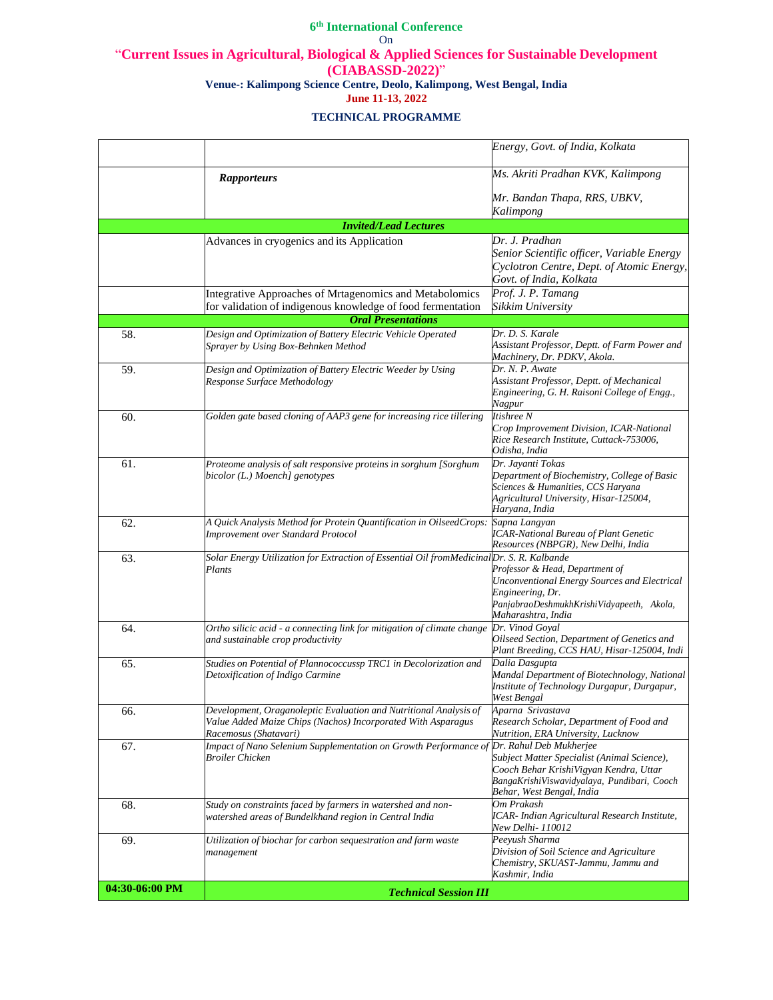|                |                                                                                                                                                            | Energy, Govt. of India, Kolkata                                                                                                                                                              |
|----------------|------------------------------------------------------------------------------------------------------------------------------------------------------------|----------------------------------------------------------------------------------------------------------------------------------------------------------------------------------------------|
|                | <b>Rapporteurs</b>                                                                                                                                         | Ms. Akriti Pradhan KVK, Kalimpong                                                                                                                                                            |
|                |                                                                                                                                                            | Mr. Bandan Thapa, RRS, UBKV,<br>Kalimpong                                                                                                                                                    |
|                | <b>Invited/Lead Lectures</b>                                                                                                                               |                                                                                                                                                                                              |
|                | Advances in cryogenics and its Application                                                                                                                 | Dr. J. Pradhan<br>Senior Scientific officer, Variable Energy<br>Cyclotron Centre, Dept. of Atomic Energy,<br>Govt. of India, Kolkata                                                         |
|                | Integrative Approaches of Mrtagenomics and Metabolomics<br>for validation of indigenous knowledge of food fermentation                                     | Prof. J. P. Tamang<br>Sikkim University                                                                                                                                                      |
|                | <b>Oral Presentations</b>                                                                                                                                  |                                                                                                                                                                                              |
| 58.            | Design and Optimization of Battery Electric Vehicle Operated<br>Sprayer by Using Box-Behnken Method                                                        | Dr. D. S. Karale<br>Assistant Professor, Deptt. of Farm Power and<br>Machinery, Dr. PDKV, Akola.                                                                                             |
| 59.            | Design and Optimization of Battery Electric Weeder by Using<br>Response Surface Methodology                                                                | Dr. N. P. Awate<br>Assistant Professor, Deptt. of Mechanical<br>Engineering, G. H. Raisoni College of Engg.,<br>Nagpur                                                                       |
| 60.            | Golden gate based cloning of AAP3 gene for increasing rice tillering                                                                                       | Itishree N<br>Crop Improvement Division, ICAR-National<br>Rice Research Institute, Cuttack-753006,<br>Odisha, India                                                                          |
| 61.            | Proteome analysis of salt responsive proteins in sorghum [Sorghum<br>bicolor (L.) Moench] genotypes                                                        | Dr. Jayanti Tokas<br>Department of Biochemistry, College of Basic<br>Sciences & Humanities, CCS Haryana<br>Agricultural University, Hisar-125004,<br>Haryana, India                          |
| 62.            | A Quick Analysis Method for Protein Quantification in OilseedCrops:<br>Improvement over Standard Protocol                                                  | Sapna Langyan<br><b>ICAR-National Bureau of Plant Genetic</b><br>Resources (NBPGR), New Delhi, India                                                                                         |
| 63.            | Solar Energy Utilization for Extraction of Essential Oil fromMedicinalDr. S. R. Kalbande<br>Plants                                                         | Professor & Head, Department of<br>Unconventional Energy Sources and Electrical<br>Engineering, Dr.<br>PanjabraoDeshmukhKrishiVidyapeeth, Akola,<br>Maharashtra, India                       |
| 64.            | Ortho silicic acid - a connecting link for mitigation of climate change<br>and sustainable crop productivity                                               | Dr. Vinod Goyal<br>Oilseed Section, Department of Genetics and<br>Plant Breeding, CCS HAU, Hisar-125004, Indi                                                                                |
| 65.            | Studies on Potential of Plannococcussp TRC1 in Decolorization and<br>Detoxification of Indigo Carmine                                                      | Dalia Dasgupta<br>Mandal Department of Biotechnology, National<br>Institute of Technology Durgapur, Durgapur,<br>West Bengal                                                                 |
| 66.            | Development, Oraganoleptic Evaluation and Nutritional Analysis of<br>Value Added Maize Chips (Nachos) Incorporated With Asparagus<br>Racemosus (Shatavari) | Aparna Srivastava<br>Research Scholar, Department of Food and<br>Nutrition, ERA University, Lucknow                                                                                          |
| 67.            | Impact of Nano Selenium Supplementation on Growth Performance of<br><b>Broiler Chicken</b>                                                                 | Dr. Rahul Deb Mukherjee<br>Subject Matter Specialist (Animal Science),<br>Cooch Behar KrishiVigyan Kendra, Uttar<br>BangaKrishiViswavidyalaya, Pundibari, Cooch<br>Behar, West Bengal, India |
| 68.            | Study on constraints faced by farmers in watershed and non-<br>watershed areas of Bundelkhand region in Central India                                      | Om Prakash<br>ICAR- Indian Agricultural Research Institute,<br>New Delhi- 110012                                                                                                             |
| 69.            | Utilization of biochar for carbon sequestration and farm waste<br>management                                                                               | Peeyush Sharma<br>Division of Soil Science and Agriculture<br>Chemistry, SKUAST-Jammu, Jammu and<br>Kashmir, India                                                                           |
| 04:30-06:00 PM | <b>Technical Session III</b>                                                                                                                               |                                                                                                                                                                                              |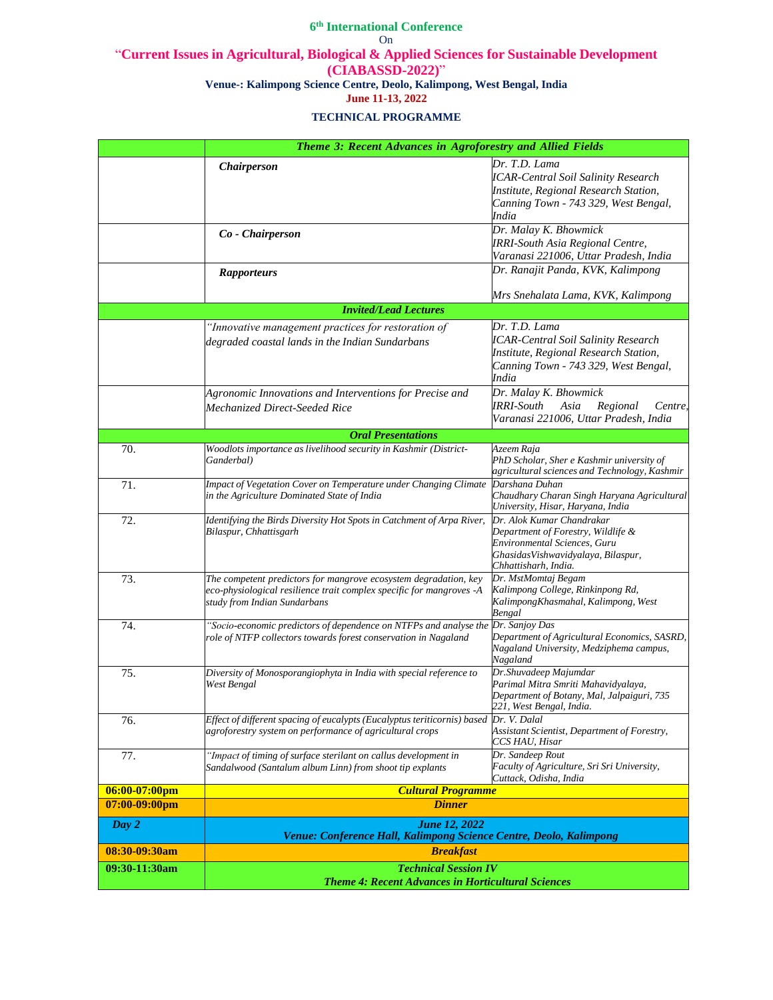|                  | Theme 3: Recent Advances in Agroforestry and Allied Fields                                                                                                               |                                                                                                                                                               |
|------------------|--------------------------------------------------------------------------------------------------------------------------------------------------------------------------|---------------------------------------------------------------------------------------------------------------------------------------------------------------|
|                  | Chairperson                                                                                                                                                              | Dr. T.D. Lama<br><b>ICAR-Central Soil Salinity Research</b><br>Institute, Regional Research Station,<br>Canning Town - 743 329, West Bengal,<br>India         |
|                  | Co - Chairperson                                                                                                                                                         | Dr. Malay K. Bhowmick<br>IRRI-South Asia Regional Centre,<br>Varanasi 221006, Uttar Pradesh, India                                                            |
|                  | <b>Rapporteurs</b>                                                                                                                                                       | Dr. Ranajit Panda, KVK, Kalimpong<br>Mrs Snehalata Lama, KVK, Kalimpong                                                                                       |
|                  | <b>Invited/Lead Lectures</b>                                                                                                                                             |                                                                                                                                                               |
|                  | "Innovative management practices for restoration of<br>degraded coastal lands in the Indian Sundarbans                                                                   | Dr. T.D. Lama<br>ICAR-Central Soil Salinity Research<br>Institute, Regional Research Station,<br>Canning Town - 743 329, West Bengal,<br>India                |
|                  | Agronomic Innovations and Interventions for Precise and<br>Mechanized Direct-Seeded Rice                                                                                 | Dr. Malay K. Bhowmick<br><b>IRRI-South</b><br>Asia<br>Regional<br>Centre,<br>Varanasi 221006, Uttar Pradesh, India                                            |
|                  | <b>Oral Presentations</b>                                                                                                                                                |                                                                                                                                                               |
| 70.              | Woodlots importance as livelihood security in Kashmir (District-<br>Ganderbal)                                                                                           | Azeem Raja<br>PhD Scholar, Sher e Kashmir university of<br>agricultural sciences and Technology, Kashmir                                                      |
| 71.              | Impact of Vegetation Cover on Temperature under Changing Climate<br>in the Agriculture Dominated State of India                                                          | Darshana Duhan<br>Chaudhary Charan Singh Haryana Agricultural<br>University, Hisar, Haryana, India                                                            |
| 72.              | Identifying the Birds Diversity Hot Spots in Catchment of Arpa River,<br>Bilaspur, Chhattisgarh                                                                          | Dr. Alok Kumar Chandrakar<br>Department of Forestry, Wildlife &<br>Environmental Sciences, Guru<br>GhasidasVishwavidyalaya, Bilaspur,<br>Chhattisharh, India. |
| 73.              | The competent predictors for mangrove ecosystem degradation, key<br>eco-physiological resilience trait complex specific for mangroves -A<br>study from Indian Sundarbans | Dr. MstMomtaj Begam<br>Kalimpong College, Rinkinpong Rd,<br>Kalimpong Khasmahal, Kalimpong, West<br>Bengal                                                    |
| 74.              | "Socio-economic predictors of dependence on NTFPs and analyse the<br>role of NTFP collectors towards forest conservation in Nagaland                                     | Dr. Sanjoy Das<br>Department of Agricultural Economics, SASRD,<br>Nagaland University, Medziphema campus,<br>Nagaland                                         |
| 75.              | Diversity of Monosporangiophyta in India with special reference to<br>West Bengal                                                                                        | Dr.Shuvadeep Majumdar<br>Parimal Mitra Smriti Mahavidyalaya,<br>Department of Botany, Mal, Jalpaiguri, 735<br>221, West Bengal, India.                        |
| 76.              | Effect of different spacing of eucalypts (Eucalyptus teriticornis) based<br>agroforestry system on performance of agricultural crops                                     | Dr. V. Dalal<br>Assistant Scientist, Department of Forestry,<br>CCS HAU, Hisar                                                                                |
| 77.              | "Impact of timing of surface sterilant on callus development in<br>Sandalwood (Santalum album Linn) from shoot tip explants                                              | Dr. Sandeep Rout<br>Faculty of Agriculture, Sri Sri University,<br>Cuttack, Odisha, India                                                                     |
| $06:00-07:00$ pm | <b>Cultural Programme</b>                                                                                                                                                |                                                                                                                                                               |
| $07:00-09:00$ pm | <b>Dinner</b>                                                                                                                                                            |                                                                                                                                                               |
| Day 2            | <b>June 12, 2022</b><br>Venue: Conference Hall, Kalimpong Science Centre, Deolo, Kalimpong                                                                               |                                                                                                                                                               |
| 08:30-09:30am    | <b>Breakfast</b>                                                                                                                                                         |                                                                                                                                                               |
| 09:30-11:30am    | <b>Technical Session IV</b><br><b>Theme 4: Recent Advances in Horticultural Sciences</b>                                                                                 |                                                                                                                                                               |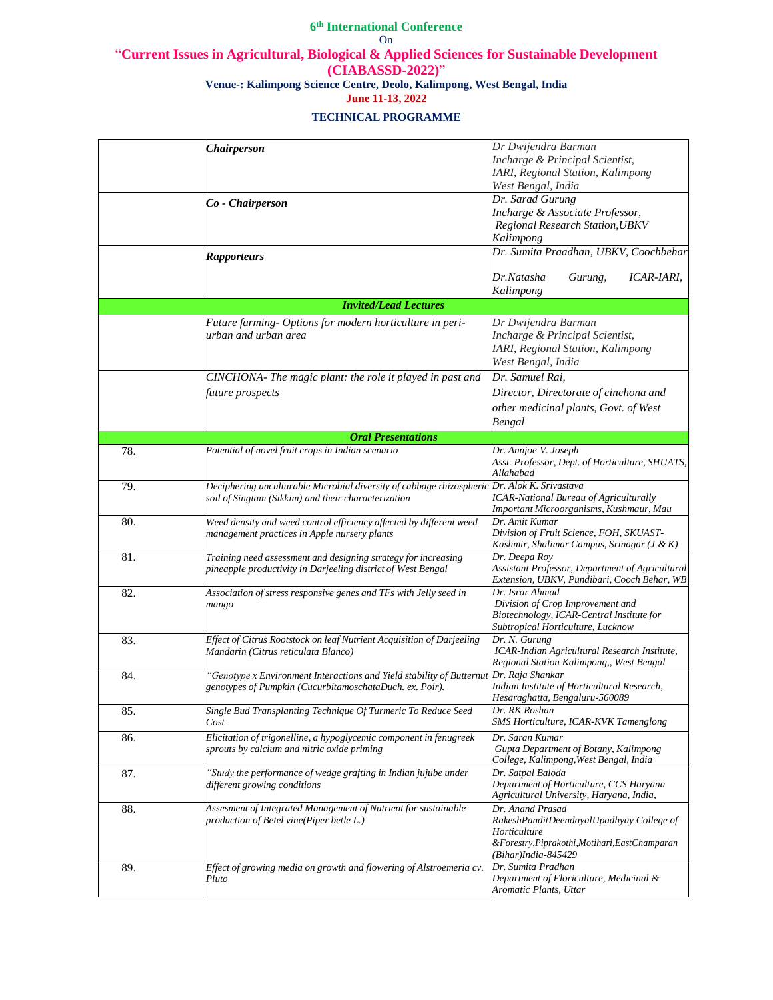|     | <b>Chairperson</b>                                                                                                                                 | Dr Dwijendra Barman<br>Incharge & Principal Scientist,<br>IARI, Regional Station, Kalimpong<br>West Bengal, India                                     |
|-----|----------------------------------------------------------------------------------------------------------------------------------------------------|-------------------------------------------------------------------------------------------------------------------------------------------------------|
|     | Co - Chairperson                                                                                                                                   | Dr. Sarad Gurung<br>Incharge & Associate Professor,<br>Regional Research Station, UBKV<br>Kalimpong                                                   |
|     | <b>Rapporteurs</b>                                                                                                                                 | Dr. Sumita Praadhan, UBKV, Coochbehar<br>Dr.Natasha<br>ICAR-IARI,<br>Gurung,                                                                          |
|     |                                                                                                                                                    | Kalimpong                                                                                                                                             |
|     | <b>Invited/Lead Lectures</b>                                                                                                                       |                                                                                                                                                       |
|     | Future farming- Options for modern horticulture in peri-<br>urban and urban area                                                                   | Dr Dwijendra Barman<br>Incharge & Principal Scientist,<br>IARI, Regional Station, Kalimpong<br>West Bengal, India                                     |
|     | CINCHONA- The magic plant: the role it played in past and<br>future prospects                                                                      | Dr. Samuel Rai,<br>Director, Directorate of cinchona and<br>other medicinal plants, Govt. of West<br>Bengal                                           |
|     | <b>Oral Presentations</b>                                                                                                                          |                                                                                                                                                       |
| 78. | Potential of novel fruit crops in Indian scenario                                                                                                  | Dr. Annjoe V. Joseph<br>Asst. Professor, Dept. of Horticulture, SHUATS,<br>Allahabad                                                                  |
| 79. | Deciphering unculturable Microbial diversity of cabbage rhizospheric Dr. Alok K. Srivastava<br>soil of Singtam (Sikkim) and their characterization | <b>ICAR-National Bureau of Agriculturally</b><br>Important Microorganisms, Kushmaur, Mau                                                              |
| 80. | Weed density and weed control efficiency affected by different weed<br>management practices in Apple nursery plants                                | Dr. Amit Kumar<br>Division of Fruit Science, FOH, SKUAST-<br>Kashmir, Shalimar Campus, Srinagar (J & K)                                               |
| 81. | Training need assessment and designing strategy for increasing<br>pineapple productivity in Darjeeling district of West Bengal                     | Dr. Deepa Roy<br>Assistant Professor, Department of Agricultural<br>Extension, UBKV, Pundibari, Cooch Behar, WB                                       |
| 82. | Association of stress responsive genes and TFs with Jelly seed in<br>mango                                                                         | Dr. Israr Ahmad<br>Division of Crop Improvement and<br>Biotechnology, ICAR-Central Institute for<br>Subtropical Horticulture, Lucknow                 |
| 83. | Effect of Citrus Rootstock on leaf Nutrient Acquisition of Darjeeling<br>Mandarin (Citrus reticulata Blanco)                                       | Dr. N. Gurung<br>ICAR-Indian Agricultural Research Institute,<br>Regional Station Kalimpong,, West Bengal                                             |
| 84. | "Genotype x Environment Interactions and Yield stability of Butternut<br>genotypes of Pumpkin (CucurbitamoschataDuch. ex. Poir).                   | Dr. Raja Shankar<br>Indian Institute of Horticultural Research,<br>Hesaraghatta, Bengaluru-560089                                                     |
| 85. | Single Bud Transplanting Technique Of Turmeric To Reduce Seed<br>Cost                                                                              | Dr. RK Roshan<br>SMS Horticulture, ICAR-KVK Tamenglong                                                                                                |
| 86. | Elicitation of trigonelline, a hypoglycemic component in fenugreek<br>sprouts by calcium and nitric oxide priming                                  | Dr. Saran Kumar<br>Gupta Department of Botany, Kalimpong<br>College, Kalimpong, West Bengal, India                                                    |
| 87. | "Study the performance of wedge grafting in Indian jujube under<br>different growing conditions                                                    | Dr. Satpal Baloda<br>Department of Horticulture, CCS Haryana<br>Agricultural University, Haryana, India,                                              |
| 88. | Assesment of Integrated Management of Nutrient for sustainable<br>production of Betel vine(Piper betle L.)                                         | Dr. Anand Prasad<br>RakeshPanditDeendayalUpadhyay College of<br>Horticulture<br>&Forestry, Piprakothi, Motihari, EastChamparan<br>(Bihar)India-845429 |
| 89. | Effect of growing media on growth and flowering of Alstroemeria cv.<br>Pluto                                                                       | Dr. Sumita Pradhan<br>Department of Floriculture, Medicinal &<br>Aromatic Plants, Uttar                                                               |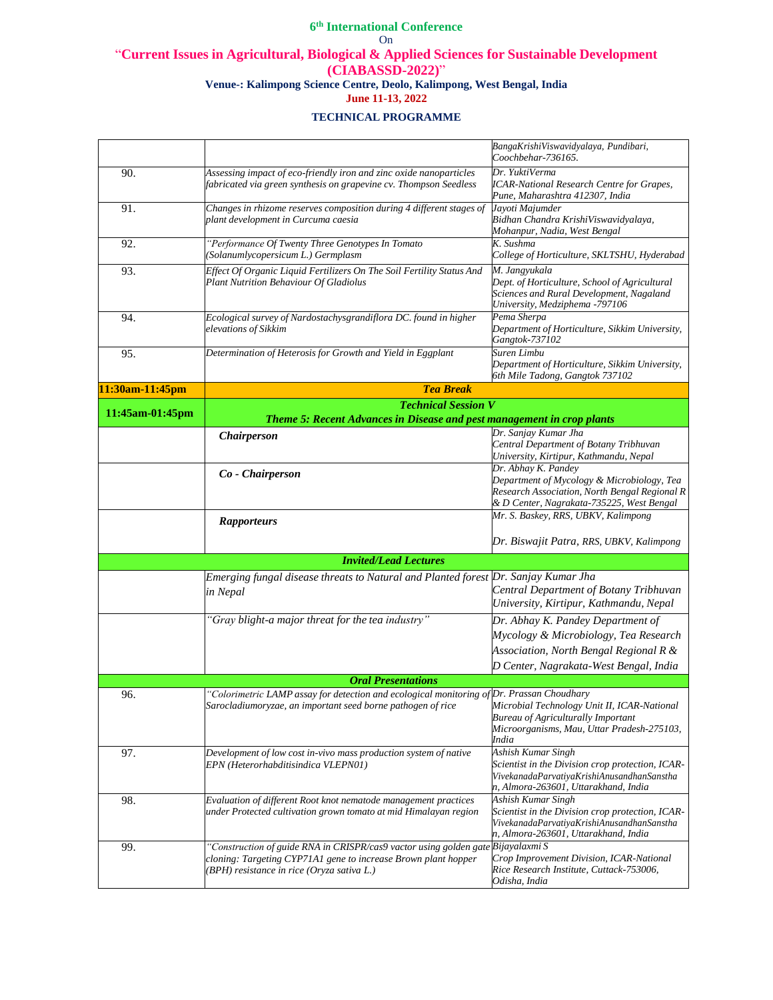|                 |                                                                                                                                                                                                  | BangaKrishiViswavidyalaya, Pundibari,<br>Coochbehar-736165.                                                                                                     |
|-----------------|--------------------------------------------------------------------------------------------------------------------------------------------------------------------------------------------------|-----------------------------------------------------------------------------------------------------------------------------------------------------------------|
| 90.             | Assessing impact of eco-friendly iron and zinc oxide nanoparticles<br>fabricated via green synthesis on grapevine cv. Thompson Seedless                                                          | Dr. YuktiVerma<br><b>ICAR-National Research Centre for Grapes,</b><br>Pune, Maharashtra 412307, India                                                           |
| 91.             | Changes in rhizome reserves composition during 4 different stages of<br>plant development in Curcuma caesia                                                                                      | Jayoti Majumder<br>Bidhan Chandra KrishiViswavidyalaya,<br>Mohanpur, Nadia, West Bengal                                                                         |
| 92.             | "Performance Of Twenty Three Genotypes In Tomato<br>(Solanumlycopersicum L.) Germplasm                                                                                                           | K. Sushma<br>College of Horticulture, SKLTSHU, Hyderabad                                                                                                        |
| 93.             | Effect Of Organic Liquid Fertilizers On The Soil Fertility Status And<br>Plant Nutrition Behaviour Of Gladiolus                                                                                  | M. Jangyukala<br>Dept. of Horticulture, School of Agricultural<br>Sciences and Rural Development, Nagaland<br>University, Medziphema -797106                    |
| 94.             | Ecological survey of Nardostachysgrandiflora DC. found in higher<br>elevations of Sikkim                                                                                                         | Pema Sherpa<br>Department of Horticulture, Sikkim University,<br>Gangtok-737102                                                                                 |
| 95.             | Determination of Heterosis for Growth and Yield in Eggplant                                                                                                                                      | Suren Limbu<br>Department of Horticulture, Sikkim University,<br>6th Mile Tadong, Gangtok 737102                                                                |
| 11:30am-11:45pm | <b>Tea Break</b>                                                                                                                                                                                 |                                                                                                                                                                 |
| 11:45am-01:45pm | <b>Technical Session V</b>                                                                                                                                                                       |                                                                                                                                                                 |
|                 | Theme 5: Recent Advances in Disease and pest management in crop plants                                                                                                                           |                                                                                                                                                                 |
|                 | Chairperson                                                                                                                                                                                      | Dr. Sanjay Kumar Jha<br>Central Department of Botany Tribhuvan<br>University, Kirtipur, Kathmandu, Nepal                                                        |
|                 | Co - Chairperson                                                                                                                                                                                 | Dr. Abhay K. Pandey<br>Department of Mycology & Microbiology, Tea<br>Research Association, North Bengal Regional R<br>& D Center, Nagrakata-735225, West Bengal |
|                 |                                                                                                                                                                                                  | Mr. S. Baskey, RRS, UBKV, Kalimpong                                                                                                                             |
|                 | <b>Rapporteurs</b>                                                                                                                                                                               | Dr. Biswajit Patra, RRS, UBKV, Kalimpong                                                                                                                        |
|                 | <b>Invited/Lead Lectures</b>                                                                                                                                                                     |                                                                                                                                                                 |
|                 | Emerging fungal disease threats to Natural and Planted forest Dr. Sanjay Kumar Jha<br>in Nepal                                                                                                   | Central Department of Botany Tribhuvan<br>University, Kirtipur, Kathmandu, Nepal                                                                                |
|                 | "Gray blight-a major threat for the tea industry"                                                                                                                                                | Dr. Abhay K. Pandey Department of<br>Mycology & Microbiology, Tea Research<br>Association, North Bengal Regional R &<br>D Center, Nagrakata-West Bengal, India  |
|                 | <b>Oral Presentations</b>                                                                                                                                                                        |                                                                                                                                                                 |
| 96.             | 'Colorimetric LAMP assay for detection and ecological monitoring of Dr. Prassan Choudhary                                                                                                        |                                                                                                                                                                 |
|                 | Sarocladiumoryzae, an important seed borne pathogen of rice                                                                                                                                      | Microbial Technology Unit II, ICAR-National<br><b>Bureau of Agriculturally Important</b><br>Microorganisms, Mau, Uttar Pradesh-275103,<br>India                 |
| 97.             | Development of low cost in-vivo mass production system of native<br>EPN (Heterorhabditisindica VLEPN01)                                                                                          | Ashish Kumar Singh<br>Scientist in the Division crop protection, ICAR-<br>VivekanadaParvatiyaKrishiAnusandhanSanstha<br>n, Almora-263601, Uttarakhand, India    |
| 98.             | Evaluation of different Root knot nematode management practices<br>under Protected cultivation grown tomato at mid Himalayan region                                                              | Ashish Kumar Singh<br>Scientist in the Division crop protection, ICAR-<br>VivekanadaParvatiyaKrishiAnusandhanSanstha<br>n, Almora-263601, Uttarakhand, India    |
| 99.             | "Construction of guide RNA in CRISPR/cas9 vactor using golden gate Bijayalaxmi S<br>cloning: Targeting CYP71A1 gene to increase Brown plant hopper<br>(BPH) resistance in rice (Oryza sativa L.) | Crop Improvement Division, ICAR-National<br>Rice Research Institute, Cuttack-753006,<br>Odisha, India                                                           |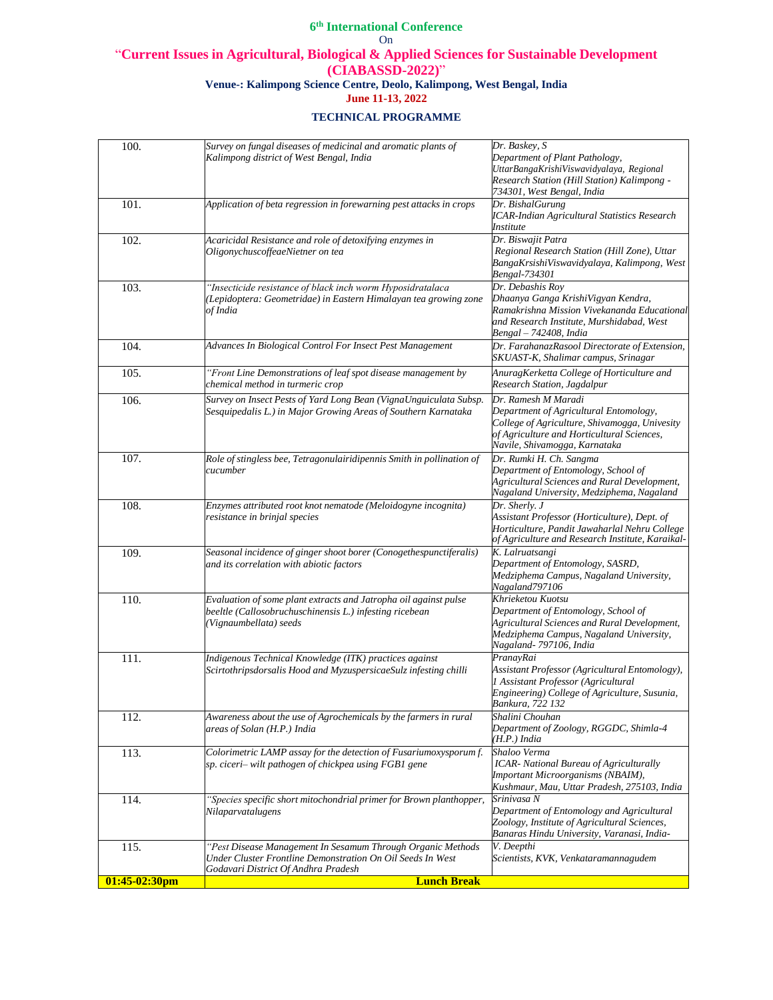| 100.             | Survey on fungal diseases of medicinal and aromatic plants of<br>Kalimpong district of West Bengal, India                                                        | Dr. Baskey, S<br>Department of Plant Pathology,<br>UttarBangaKrishiViswavidyalaya, Regional<br>Research Station (Hill Station) Kalimpong -<br>734301, West Bengal, India                      |
|------------------|------------------------------------------------------------------------------------------------------------------------------------------------------------------|-----------------------------------------------------------------------------------------------------------------------------------------------------------------------------------------------|
| 101.             | Application of beta regression in forewarning pest attacks in crops                                                                                              | Dr. BishalGurung<br><b>ICAR-Indian Agricultural Statistics Research</b><br>Institute                                                                                                          |
| 102.             | Acaricidal Resistance and role of detoxifying enzymes in<br>OligonychuscoffeaeNietner on tea                                                                     | Dr. Biswajit Patra<br>Regional Research Station (Hill Zone), Uttar<br>BangaKrsishiViswavidyalaya, Kalimpong, West<br>Bengal-734301                                                            |
| 103.             | "Insecticide resistance of black inch worm Hyposidratalaca<br>Lepidoptera: Geometridae) in Eastern Himalayan tea growing zone<br>of India                        | Dr. Debashis Roy<br>Dhaanya Ganga KrishiVigyan Kendra,<br>Ramakrishna Mission Vivekananda Educational<br>and Research Institute, Murshidabad, West<br>Bengal - 742408, India                  |
| 104.             | Advances In Biological Control For Insect Pest Management                                                                                                        | Dr. FarahanazRasool Directorate of Extension,<br>SKUAST-K, Shalimar campus, Srinagar                                                                                                          |
| 105.             | "Front Line Demonstrations of leaf spot disease management by<br>chemical method in turmeric crop                                                                | AnuragKerketta College of Horticulture and<br>Research Station, Jagdalpur                                                                                                                     |
| 106.             | Survey on Insect Pests of Yard Long Bean (VignaUnguiculata Subsp.<br>Sesquipedalis L.) in Major Growing Areas of Southern Karnataka                              | Dr. Ramesh M Maradi<br>Department of Agricultural Entomology,<br>College of Agriculture, Shivamogga, Univesity<br>of Agriculture and Horticultural Sciences,<br>Navile, Shivamogga, Karnataka |
| 107.             | Role of stingless bee, Tetragonulairidipennis Smith in pollination of<br>cucumber                                                                                | Dr. Rumki H. Ch. Sangma<br>Department of Entomology, School of<br>Agricultural Sciences and Rural Development,<br>Nagaland University, Medziphema, Nagaland                                   |
| 108.             | Enzymes attributed root knot nematode (Meloidogyne incognita)<br>resistance in brinjal species                                                                   | Dr. Sherly. J<br>Assistant Professor (Horticulture), Dept. of<br>Horticulture, Pandit Jawaharlal Nehru College<br>of Agriculture and Research Institute, Karaikal-                            |
| 109.             | Seasonal incidence of ginger shoot borer (Conogethespunctiferalis)<br>and its correlation with abiotic factors                                                   | K. Lalruatsangi<br>Department of Entomology, SASRD,<br>Medziphema Campus, Nagaland University,<br>Nagaland797106                                                                              |
| 110.             | Evaluation of some plant extracts and Jatropha oil against pulse<br>beeltle (Callosobruchuschinensis L.) infesting ricebean<br>Vignaumbellata) seeds             | Khrieketou Kuotsu<br>Department of Entomology, School of<br>Agricultural Sciences and Rural Development,<br>Medziphema Campus, Nagaland University,<br>Nagaland-797106, India                 |
| 111.             | Indigenous Technical Knowledge (ITK) practices against<br>Scirtothripsdorsalis Hood and MyzuspersicaeSulz infesting chilli                                       | PranayRai<br>Assistant Professor (Agricultural Entomology),<br>1 Assistant Professor (Agricultural<br>Engineering) College of Agriculture, Susunia,<br>Bankura, 722 132                       |
| 112.             | Awareness about the use of Agrochemicals by the farmers in rural<br>areas of Solan (H.P.) India                                                                  | Shalini Chouhan<br>Department of Zoology, RGGDC, Shimla-4<br>(H.P.) India                                                                                                                     |
| 113.             | Colorimetric LAMP assay for the detection of Fusariumoxysporum f.<br>sp. ciceri- wilt pathogen of chickpea using FGB1 gene                                       | Shaloo Verma<br>ICAR- National Bureau of Agriculturally<br>Important Microorganisms (NBAIM),<br>Kushmaur, Mau, Uttar Pradesh, 275103, India                                                   |
| 114.             | "Species specific short mitochondrial primer for Brown planthopper,<br>Nilaparvatalugens                                                                         | Srinivasa N<br>Department of Entomology and Agricultural<br>Zoology, Institute of Agricultural Sciences,<br>Banaras Hindu University, Varanasi, India-                                        |
| 115.             | "Pest Disease Management In Sesamum Through Organic Methods<br>Under Cluster Frontline Demonstration On Oil Seeds In West<br>Godavari District Of Andhra Pradesh | V. Deepthi<br>Scientists, KVK, Venkataramannagudem                                                                                                                                            |
| $01:45-02:30$ pm | <b>Lunch Break</b>                                                                                                                                               |                                                                                                                                                                                               |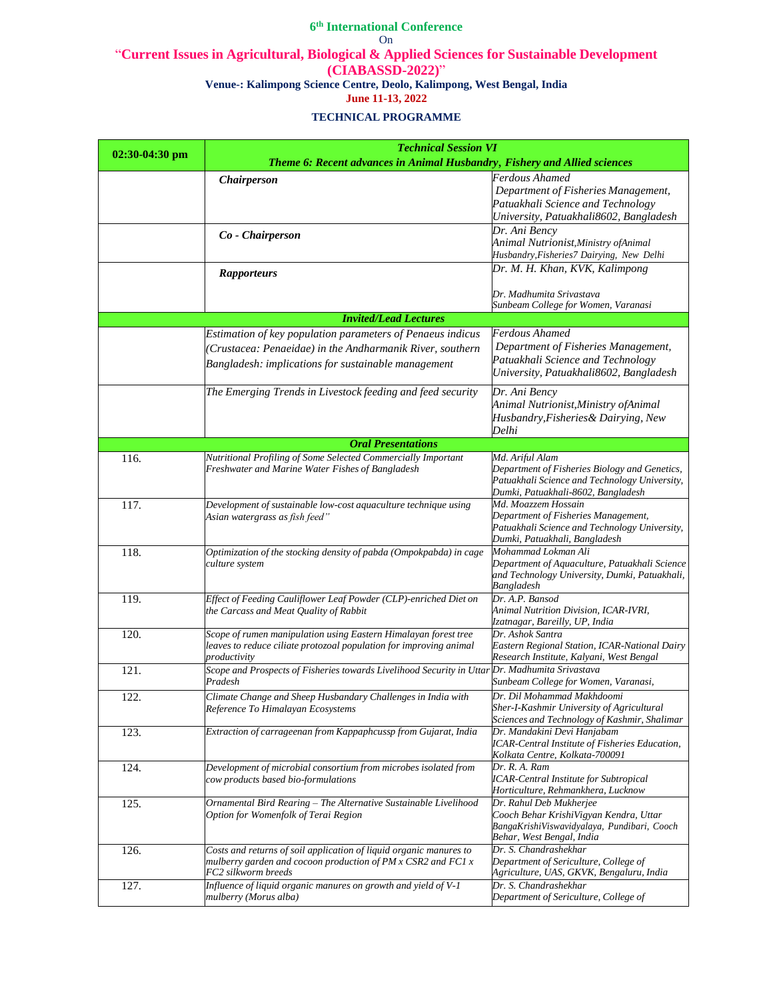| $02:30-04:30$ pm | <b>Technical Session VI</b>                                                                                                                                                    |                                                                                                                                                         |
|------------------|--------------------------------------------------------------------------------------------------------------------------------------------------------------------------------|---------------------------------------------------------------------------------------------------------------------------------------------------------|
|                  | Theme 6: Recent advances in Animal Husbandry, Fishery and Allied sciences                                                                                                      |                                                                                                                                                         |
|                  | <i>Chairperson</i>                                                                                                                                                             | Ferdous Ahamed<br>Department of Fisheries Management,<br>Patuakhali Science and Technology<br>University, Patuakhali8602, Bangladesh                    |
|                  | Co - Chairperson                                                                                                                                                               | Dr. Ani Bency<br>Animal Nutrionist, Ministry of Animal<br>Husbandry, Fisheries7 Dairying, New Delhi                                                     |
|                  | <b>Rapporteurs</b>                                                                                                                                                             | Dr. M. H. Khan, KVK, Kalimpong                                                                                                                          |
|                  |                                                                                                                                                                                | Dr. Madhumita Srivastava<br>Sunbeam College for Women, Varanasi                                                                                         |
|                  | <b>Invited/Lead Lectures</b>                                                                                                                                                   |                                                                                                                                                         |
|                  | Estimation of key population parameters of Penaeus indicus<br>(Crustacea: Penaeidae) in the Andharmanik River, southern<br>Bangladesh: implications for sustainable management | Ferdous Ahamed<br>Department of Fisheries Management,<br>Patuakhali Science and Technology<br>University, Patuakhali8602, Bangladesh                    |
|                  | The Emerging Trends in Livestock feeding and feed security                                                                                                                     | Dr. Ani Bency<br>Animal Nutrionist, Ministry of Animal<br>Husbandry, Fisheries & Dairying, New<br>Delhi                                                 |
|                  | <b>Oral Presentations</b>                                                                                                                                                      |                                                                                                                                                         |
| 116.             | Nutritional Profiling of Some Selected Commercially Important<br>Freshwater and Marine Water Fishes of Bangladesh                                                              | Md. Ariful Alam<br>Department of Fisheries Biology and Genetics,<br>Patuakhali Science and Technology University,<br>Dumki, Patuakhali-8602, Bangladesh |
| 117.             | Development of sustainable low-cost aquaculture technique using<br>Asian watergrass as fish feed"                                                                              | Md. Moazzem Hossain<br>Department of Fisheries Management,<br>Patuakhali Science and Technology University,<br>Dumki, Patuakhali, Bangladesh            |
| 118.             | Optimization of the stocking density of pabda (Ompokpabda) in cage<br>culture system                                                                                           | Mohammad Lokman Ali<br>Department of Aquaculture, Patuakhali Science<br>and Technology University, Dumki, Patuakhali,<br>Bangladesh                     |
| 119.             | Effect of Feeding Cauliflower Leaf Powder (CLP)-enriched Diet on<br>the Carcass and Meat Quality of Rabbit                                                                     | Dr. A.P. Bansod<br>Animal Nutrition Division, ICAR-IVRI,<br>Izatnagar, Bareilly, UP, India                                                              |
| 120.             | Scope of rumen manipulation using Eastern Himalayan forest tree<br>leaves to reduce ciliate protozoal population for improving animal<br>productivity                          | Dr. Ashok Santra<br>Eastern Regional Station, ICAR-National Dairy<br>Research Institute, Kalyani, West Bengal                                           |
| 121.             | Scope and Prospects of Fisheries towards Livelihood Security in Uttar Dr. Madhumita Srivastava<br>Pradesh                                                                      | Sunbeam College for Women, Varanasi,                                                                                                                    |
| 122.             | Climate Change and Sheep Husbandary Challenges in India with<br>Reference To Himalayan Ecosystems                                                                              | Dr. Dil Mohammad Makhdoomi<br>Sher-I-Kashmir University of Agricultural<br>Sciences and Technology of Kashmir, Shalimar                                 |
| 123.             | Extraction of carrageenan from Kappaphcussp from Gujarat, India                                                                                                                | Dr. Mandakini Devi Hanjabam<br>ICAR-Central Institute of Fisheries Education,<br>Kolkata Centre, Kolkata-700091                                         |
| 124.             | Development of microbial consortium from microbes isolated from<br>cow products based bio-formulations                                                                         | Dr. R. A. Ram<br><b>ICAR-Central Institute for Subtropical</b><br>Horticulture, Rehmankhera, Lucknow                                                    |
| 125.             | Ornamental Bird Rearing - The Alternative Sustainable Livelihood<br>Option for Womenfolk of Terai Region                                                                       | Dr. Rahul Deb Mukherjee<br>Cooch Behar KrishiVigyan Kendra, Uttar<br>BangaKrishiViswavidyalaya, Pundibari, Cooch<br>Behar, West Bengal, India           |
| 126.             | Costs and returns of soil application of liquid organic manures to<br>mulberry garden and cocoon production of PM x CSR2 and FC1 x<br>FC2 silkworm breeds                      | Dr. S. Chandrashekhar<br>Department of Sericulture, College of<br>Agriculture, UAS, GKVK, Bengaluru, India                                              |
| 127.             | Influence of liquid organic manures on growth and yield of V-1<br>mulberry (Morus alba)                                                                                        | Dr. S. Chandrashekhar<br>Department of Sericulture, College of                                                                                          |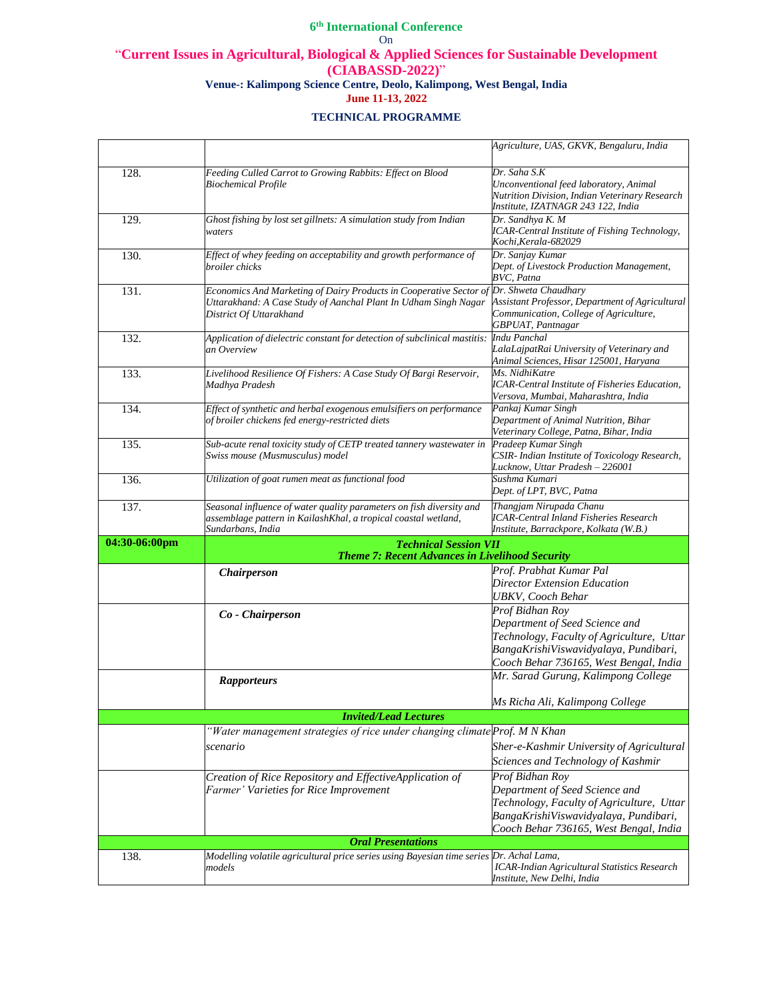|               |                                                                                                                                                                  | Agriculture, UAS, GKVK, Bengaluru, India                                                                                                                                          |
|---------------|------------------------------------------------------------------------------------------------------------------------------------------------------------------|-----------------------------------------------------------------------------------------------------------------------------------------------------------------------------------|
| 128.          | Feeding Culled Carrot to Growing Rabbits: Effect on Blood<br><b>Biochemical Profile</b>                                                                          | Dr. Saha S.K<br>Unconventional feed laboratory, Animal<br>Nutrition Division, Indian Veterinary Research<br>Institute, IZATNAGR 243 122, India                                    |
| 129.          | Ghost fishing by lost set gillnets: A simulation study from Indian<br>waters                                                                                     | Dr. Sandhya K. M<br>ICAR-Central Institute of Fishing Technology,<br>Kochi, Kerala-682029                                                                                         |
| 130.          | Effect of whey feeding on acceptability and growth performance of<br>broiler chicks                                                                              | Dr. Sanjay Kumar<br>Dept. of Livestock Production Management,<br>BVC, Patna                                                                                                       |
| 131.          | Economics And Marketing of Dairy Products in Cooperative Sector of<br>Uttarakhand: A Case Study of Aanchal Plant In Udham Singh Nagar<br>District Of Uttarakhand | Dr. Shweta Chaudhary<br>Assistant Professor, Department of Agricultural<br>Communication, College of Agriculture,<br>GBPUAT, Pantnagar                                            |
| 132.          | Application of dielectric constant for detection of subclinical mastitis:<br>an Overview                                                                         | Indu Panchal<br>LalaLajpatRai University of Veterinary and<br>Animal Sciences, Hisar 125001, Haryana                                                                              |
| 133.          | Livelihood Resilience Of Fishers: A Case Study Of Bargi Reservoir,<br>Madhya Pradesh                                                                             | Ms. NidhiKatre<br><b>ICAR-Central Institute of Fisheries Education,</b><br>Versova, Mumbai, Maharashtra, India                                                                    |
| 134.          | Effect of synthetic and herbal exogenous emulsifiers on performance<br>of broiler chickens fed energy-restricted diets                                           | Pankaj Kumar Singh<br>Department of Animal Nutrition, Bihar<br>Veterinary College, Patna, Bihar, India                                                                            |
| 135.          | Sub-acute renal toxicity study of CETP treated tannery wastewater in<br>Swiss mouse (Musmusculus) model                                                          | Pradeep Kumar Singh<br>CSIR- Indian Institute of Toxicology Research,<br>Lucknow, Uttar Pradesh - 226001                                                                          |
| 136.          | Utilization of goat rumen meat as functional food                                                                                                                | Sushma Kumari<br>Dept. of LPT, BVC, Patna                                                                                                                                         |
| 137.          | Seasonal influence of water quality parameters on fish diversity and<br>assemblage pattern in KailashKhal, a tropical coastal wetland,<br>Sundarbans, India      | Thangjam Nirupada Chanu<br><b>ICAR-Central Inland Fisheries Research</b><br>Institute, Barrackpore, Kolkata (W.B.)                                                                |
| 04:30-06:00pm | <b>Technical Session VII</b><br>Theme 7: Recent Advances in Livelihood Security                                                                                  |                                                                                                                                                                                   |
|               | <b>Chairperson</b>                                                                                                                                               | Prof. Prabhat Kumar Pal<br>Director Extension Education<br><b>UBKV</b> , Cooch Behar                                                                                              |
|               | Co - Chairperson                                                                                                                                                 | Prof Bidhan Roy<br>Department of Seed Science and<br>Technology, Faculty of Agriculture, Uttar<br>BangaKrishiViswavidyalaya, Pundibari,<br>Cooch Behar 736165, West Bengal, India |
|               | <b>Rapporteurs</b>                                                                                                                                               | Mr. Sarad Gurung, Kalimpong College<br>Ms Richa Ali, Kalimpong College                                                                                                            |
|               | <b>Invited/Lead Lectures</b>                                                                                                                                     |                                                                                                                                                                                   |
|               | "Water management strategies of rice under changing climate Prof. M N Khan                                                                                       |                                                                                                                                                                                   |
|               | scenario                                                                                                                                                         | Sher-e-Kashmir University of Agricultural<br>Sciences and Technology of Kashmir                                                                                                   |
|               | Creation of Rice Repository and EffectiveApplication of<br>Farmer' Varieties for Rice Improvement                                                                | Prof Bidhan Roy<br>Department of Seed Science and<br>Technology, Faculty of Agriculture, Uttar<br>BangaKrishiViswavidyalaya, Pundibari,<br>Cooch Behar 736165, West Bengal, India |
|               | <b>Oral Presentations</b>                                                                                                                                        |                                                                                                                                                                                   |
| 138.          | Modelling volatile agricultural price series using Bayesian time series Dr. Achal Lama,<br>models                                                                | <b>ICAR-Indian Agricultural Statistics Research</b><br>Institute, New Delhi, India                                                                                                |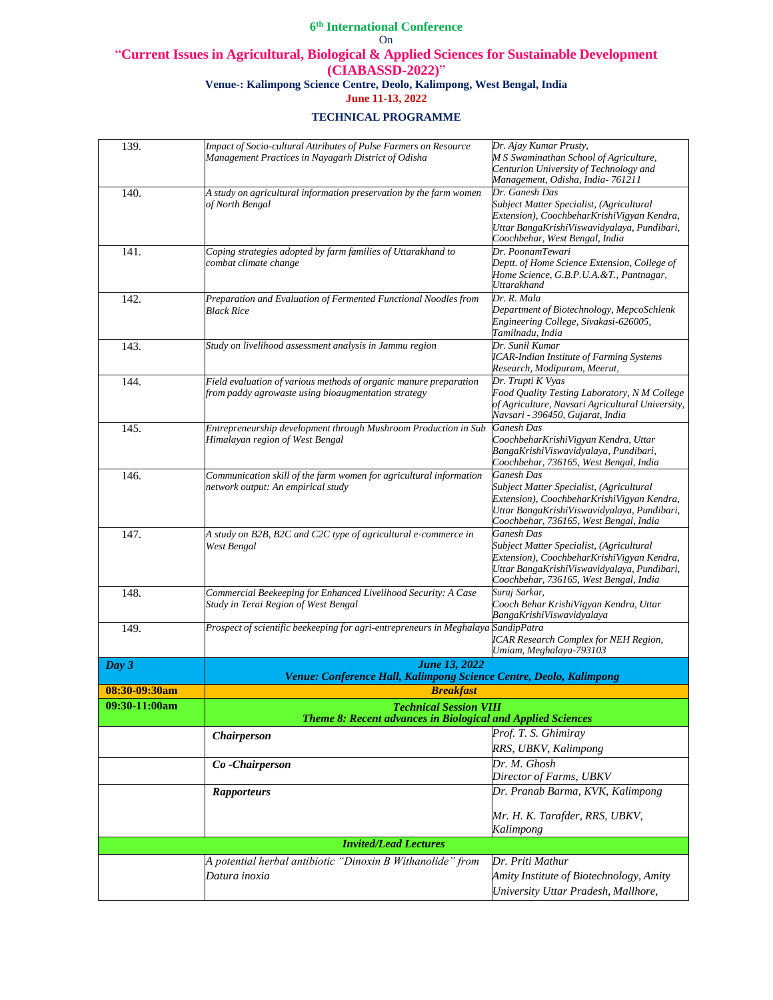| 139.          | Impact of Socio-cultural Attributes of Pulse Farmers on Resource                  | Dr. Ajay Kumar Prusty,                                 |
|---------------|-----------------------------------------------------------------------------------|--------------------------------------------------------|
|               | Management Practices in Nayagarh District of Odisha                               | M S Swaminathan School of Agriculture,                 |
|               |                                                                                   | Centurion University of Technology and                 |
|               |                                                                                   | Management, Odisha, India-761211                       |
| 140.          | A study on agricultural information preservation by the farm women                | Dr. Ganesh Das                                         |
|               | of North Bengal                                                                   | Subject Matter Specialist, (Agricultural               |
|               |                                                                                   | Extension), CoochbeharKrishiVigyan Kendra,             |
|               |                                                                                   | Uttar BangaKrishiViswavidyalaya, Pundibari,            |
|               |                                                                                   | Coochbehar, West Bengal, India                         |
| 141.          | Coping strategies adopted by farm families of Uttarakhand to                      | Dr. PoonamTewari                                       |
|               | combat climate change                                                             | Deptt. of Home Science Extension, College of           |
|               |                                                                                   | Home Science, G.B.P.U.A.&T., Pantnagar,<br>Uttarakhand |
|               |                                                                                   | Dr. R. Mala                                            |
| 142.          | Preparation and Evaluation of Fermented Functional Noodles from<br>Black Rice     | Department of Biotechnology, MepcoSchlenk              |
|               |                                                                                   | Engineering College, Sivakasi-626005,                  |
|               |                                                                                   | Tamilnadu, India                                       |
| 143.          | Study on livelihood assessment analysis in Jammu region                           | Dr. Sunil Kumar                                        |
|               |                                                                                   | <b>ICAR-Indian Institute of Farming Systems</b>        |
|               |                                                                                   | Research, Modipuram, Meerut,                           |
| 144.          | Field evaluation of various methods of organic manure preparation                 | Dr. Trupti K Vyas                                      |
|               | from paddy agrowaste using bioaugmentation strategy                               | Food Quality Testing Laboratory, N M College           |
|               |                                                                                   | of Agriculture, Navsari Agricultural University,       |
|               |                                                                                   | Navsari - 396450, Gujarat, India                       |
| 145.          | Entrepreneurship development through Mushroom Production in Sub                   | <b>Ganesh Das</b>                                      |
|               | Himalayan region of West Bengal                                                   | CoochbeharKrishiVigyan Kendra, Uttar                   |
|               |                                                                                   | BangaKrishiViswavidyalaya, Pundibari,                  |
|               |                                                                                   | Coochbehar, 736165, West Bengal, India                 |
| 146.          | Communication skill of the farm women for agricultural information                | <b>Ganesh Das</b>                                      |
|               | network output: An empirical study                                                | Subject Matter Specialist, (Agricultural               |
|               |                                                                                   | Extension), CoochbeharKrishiVigyan Kendra,             |
|               |                                                                                   | Uttar BangaKrishiViswavidyalaya, Pundibari,            |
|               |                                                                                   | Coochbehar, 736165, West Bengal, India                 |
| 147.          | A study on B2B, B2C and C2C type of agricultural e-commerce in                    | Ganesh Das                                             |
|               | West Bengal                                                                       | Subject Matter Specialist, (Agricultural               |
|               |                                                                                   | Extension), CoochbeharKrishiVigyan Kendra,             |
|               |                                                                                   | Uttar BangaKrishiViswavidyalaya, Pundibari,            |
|               |                                                                                   | Coochbehar, 736165, West Bengal, India                 |
| 148.          | Commercial Beekeeping for Enhanced Livelihood Security: A Case                    | Suraj Sarkar,                                          |
|               | Study in Terai Region of West Bengal                                              | Cooch Behar KrishiVigyan Kendra, Uttar                 |
|               |                                                                                   | BangaKrishiViswavidyalaya                              |
| 149.          | Prospect of scientific beekeeping for agri-entrepreneurs in Meghalaya SandipPatra |                                                        |
|               |                                                                                   | <b>ICAR Research Complex for NEH Region,</b>           |
|               |                                                                                   | Umiam, Meghalaya-793103                                |
| Day 3         | <b>June 13, 2022</b>                                                              |                                                        |
|               | Venue: Conference Hall, Kalimpong Science Centre, Deolo, Kalimpong                |                                                        |
| 08:30-09:30am | <b>Breakfast</b>                                                                  |                                                        |
| 09:30-11:00am | <b>Technical Session VIII</b>                                                     |                                                        |
|               | <b>Theme 8: Recent advances in Biological and Applied Sciences</b>                |                                                        |
|               | <b>Chairperson</b>                                                                | Prof. T. S. Ghimiray                                   |
|               |                                                                                   | RRS, UBKV, Kalimpong                                   |
|               |                                                                                   | Dr. M. Ghosh                                           |
|               | Co-Chairperson                                                                    |                                                        |
|               |                                                                                   | Director of Farms, UBKV                                |
|               | <b>Rapporteurs</b>                                                                | Dr. Pranab Barma, KVK, Kalimpong                       |
|               |                                                                                   |                                                        |
|               |                                                                                   | Mr. H. K. Tarafder, RRS, UBKV,                         |
|               |                                                                                   | Kalimpong                                              |
|               | <b>Invited/Lead Lectures</b>                                                      |                                                        |
|               | A potential herbal antibiotic "Dinoxin B Withanolide" from                        | Dr. Priti Mathur                                       |
|               | Datura inoxia                                                                     |                                                        |
|               |                                                                                   | Amity Institute of Biotechnology, Amity                |
|               |                                                                                   | University Uttar Pradesh, Mallhore,                    |